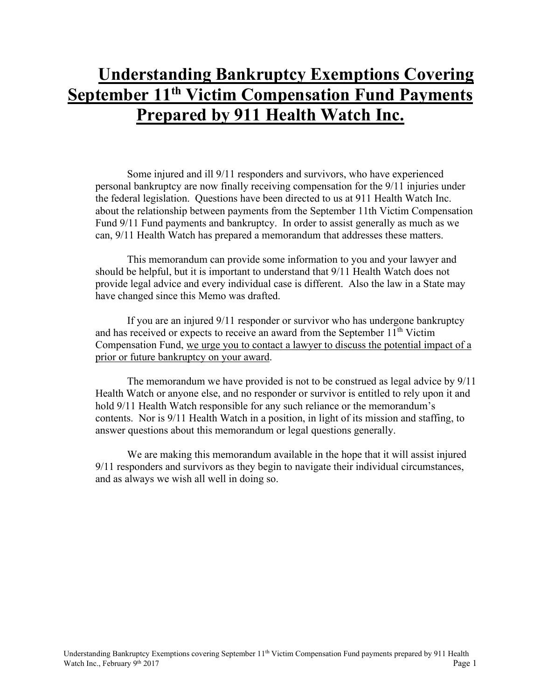# **Understanding Bankruptcy Exemptions Covering <u>September 11<sup>th</sup> Victim Compensation Fund Payments</u> Prepared by 911 Health Watch Inc.**

Some injured and ill 9/11 responders and survivors, who have experienced personal bankruptcy are now finally receiving compensation for the 9/11 injuries under the federal legislation. Questions have been directed to us at 911 Health Watch Inc. about the relationship between payments from the September 11th Victim Compensation Fund 9/11 Fund payments and bankruptcy. In order to assist generally as much as we can, 9/11 Health Watch has prepared a memorandum that addresses these matters.

This memorandum can provide some information to you and your lawyer and should be helpful, but it is important to understand that 9/11 Health Watch does not provide legal advice and every individual case is different. Also the law in a State may have changed since this Memo was drafted.

If you are an injured 9/11 responder or survivor who has undergone bankruptcy and has received or expects to receive an award from the September  $11<sup>th</sup>$  Victim Compensation Fund, we urge you to contact a lawyer to discuss the potential impact of a prior or future bankruptcy on your award.

The memorandum we have provided is not to be construed as legal advice by 9/11 Health Watch or anyone else, and no responder or survivor is entitled to rely upon it and hold 9/11 Health Watch responsible for any such reliance or the memorandum's contents. Nor is 9/11 Health Watch in a position, in light of its mission and staffing, to answer questions about this memorandum or legal questions generally.

We are making this memorandum available in the hope that it will assist injured 9/11 responders and survivors as they begin to navigate their individual circumstances, and as always we wish all well in doing so.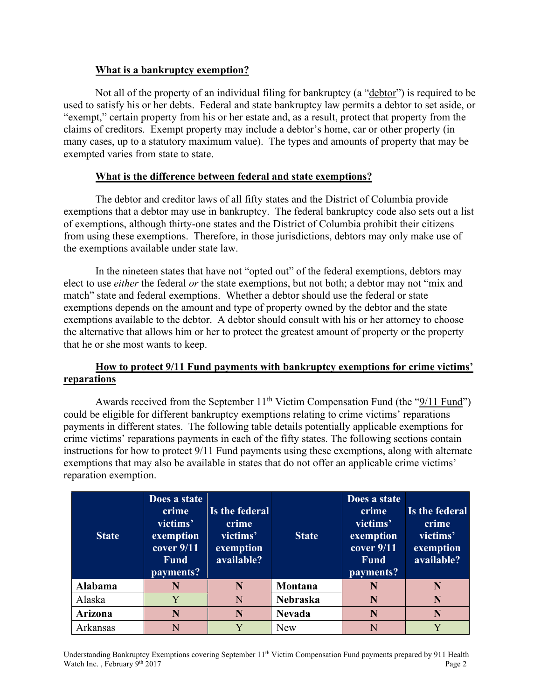# **What is a bankruptcy exemption?**

Not all of the property of an individual filing for bankruptcy (a "debtor") is required to be used to satisfy his or her debts. Federal and state bankruptcy law permits a debtor to set aside, or "exempt," certain property from his or her estate and, as a result, protect that property from the claims of creditors. Exempt property may include a debtor's home, car or other property (in many cases, up to a statutory maximum value). The types and amounts of property that may be exempted varies from state to state.

# **What is the difference between federal and state exemptions?**

The debtor and creditor laws of all fifty states and the District of Columbia provide exemptions that a debtor may use in bankruptcy. The federal bankruptcy code also sets out a list of exemptions, although thirty-one states and the District of Columbia prohibit their citizens from using these exemptions. Therefore, in those jurisdictions, debtors may only make use of the exemptions available under state law.

In the nineteen states that have not "opted out" of the federal exemptions, debtors may elect to use *either* the federal *or* the state exemptions, but not both; a debtor may not "mix and match" state and federal exemptions. Whether a debtor should use the federal or state exemptions depends on the amount and type of property owned by the debtor and the state exemptions available to the debtor. A debtor should consult with his or her attorney to choose the alternative that allows him or her to protect the greatest amount of property or the property that he or she most wants to keep.

# **How to protect 9/11 Fund payments with bankruptcy exemptions for crime victims' reparations**

Awards received from the September  $11<sup>th</sup>$  Victim Compensation Fund (the " $9/11$  Fund") could be eligible for different bankruptcy exemptions relating to crime victims' reparations payments in different states. The following table details potentially applicable exemptions for crime victims' reparations payments in each of the fifty states. The following sections contain instructions for how to protect 9/11 Fund payments using these exemptions, along with alternate exemptions that may also be available in states that do not offer an applicable crime victims' reparation exemption.

| <b>State</b> | Does a state<br>crime<br>victims'<br>exemption<br>cover 9/11<br><b>Fund</b><br>payments? | Is the federal<br>crime<br>victims'<br>exemption<br>available? | <b>State</b>    | Does a state<br>crime<br>victims'<br>exemption<br>cover 9/11<br><b>Fund</b><br>payments? | Is the federal<br>crime<br>victims'<br>exemption<br>available? |
|--------------|------------------------------------------------------------------------------------------|----------------------------------------------------------------|-----------------|------------------------------------------------------------------------------------------|----------------------------------------------------------------|
| Alabama      |                                                                                          | N                                                              | Montana         | N                                                                                        | N                                                              |
| Alaska       | Y                                                                                        | N                                                              | <b>Nebraska</b> | N                                                                                        | N                                                              |
| Arizona      | N                                                                                        | N                                                              | <b>Nevada</b>   | N                                                                                        | N                                                              |
| Arkansas     |                                                                                          |                                                                | <b>New</b>      | N                                                                                        |                                                                |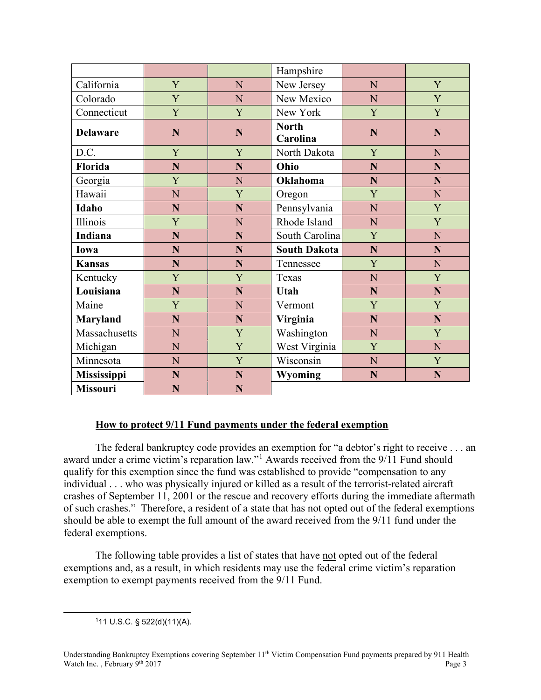|                    |   |           | Hampshire                |             |             |
|--------------------|---|-----------|--------------------------|-------------|-------------|
| California         | Y | N         | New Jersey               | N           | Y           |
| Colorado           | Y | ${\bf N}$ | New Mexico               | N           | Y           |
| Connecticut        | Y | Y         | New York                 | Y           | Y           |
| <b>Delaware</b>    | N | N         | <b>North</b><br>Carolina | N           | N           |
| D.C.               | Y | Y         | North Dakota             | Y           | N           |
| Florida            | N | N         | Ohio                     | N           | N           |
| Georgia            | Y | N         | <b>Oklahoma</b>          | N           | N           |
| Hawaii             | N | Y         | Oregon                   | Y           | N           |
| Idaho              | N | N         | Pennsylvania             | N           | Y           |
| Illinois           | Y | N         | Rhode Island             | $\mathbf N$ | Y           |
| <b>Indiana</b>     | N | N         | South Carolina           | Y           | N           |
| Iowa               | N | N         | <b>South Dakota</b>      | N           | N           |
| <b>Kansas</b>      | N | N         | Tennessee                | Y           | N           |
| Kentucky           | Y | Y         | Texas                    | N           | Y           |
| Louisiana          | N | N         | Utah                     | N           | $\mathbf N$ |
| Maine              | Y | N         | Vermont                  | Y           | Y           |
| <b>Maryland</b>    | N | N         | Virginia                 | N           | $\mathbf N$ |
| Massachusetts      | N | Y         | Washington               | N           | Y           |
| Michigan           | N | Y         | West Virginia            | Y           | N           |
| Minnesota          | N | Y         | Wisconsin                | $\mathbf N$ | Y           |
| <b>Mississippi</b> | N | N         | <b>Wyoming</b>           | N           | N           |
| <b>Missouri</b>    | N | N         |                          |             |             |

#### **How to protect 9/11 Fund payments under the federal exemption**

The federal bankruptcy code provides an exemption for "a debtor's right to receive . . . an award under a crime victim's reparation law."[1](#page-2-0) Awards received from the 9/11 Fund should qualify for this exemption since the fund was established to provide "compensation to any individual . . . who was physically injured or killed as a result of the terrorist-related aircraft crashes of September 11, 2001 or the rescue and recovery efforts during the immediate aftermath of such crashes." Therefore, a resident of a state that has not opted out of the federal exemptions should be able to exempt the full amount of the award received from the 9/11 fund under the federal exemptions.

<span id="page-2-0"></span>The following table provides a list of states that have not opted out of the federal exemptions and, as a result, in which residents may use the federal crime victim's reparation exemption to exempt payments received from the 9/11 Fund.

111 U.S.C. § 522(d)(11)(A).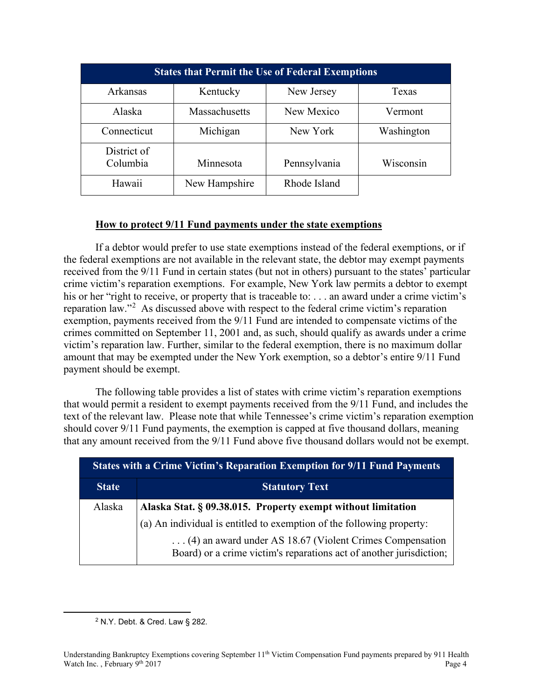| <b>States that Permit the Use of Federal Exemptions</b> |               |              |            |
|---------------------------------------------------------|---------------|--------------|------------|
| Arkansas                                                | Kentucky      | New Jersey   | Texas      |
| Alaska                                                  | Massachusetts | New Mexico   | Vermont    |
| Connecticut                                             | Michigan      | New York     | Washington |
| District of<br>Columbia                                 | Minnesota     | Pennsylvania | Wisconsin  |
| Hawaii                                                  | New Hampshire | Rhode Island |            |

#### **How to protect 9/11 Fund payments under the state exemptions**

If a debtor would prefer to use state exemptions instead of the federal exemptions, or if the federal exemptions are not available in the relevant state, the debtor may exempt payments received from the 9/11 Fund in certain states (but not in others) pursuant to the states' particular crime victim's reparation exemptions. For example, New York law permits a debtor to exempt his or her "right to receive, or property that is traceable to: . . . an award under a crime victim's reparation law."<sup>[2](#page-3-0)</sup> As discussed above with respect to the federal crime victim's reparation exemption, payments received from the 9/11 Fund are intended to compensate victims of the crimes committed on September 11, 2001 and, as such, should qualify as awards under a crime victim's reparation law. Further, similar to the federal exemption, there is no maximum dollar amount that may be exempted under the New York exemption, so a debtor's entire 9/11 Fund payment should be exempt.

The following table provides a list of states with crime victim's reparation exemptions that would permit a resident to exempt payments received from the 9/11 Fund, and includes the text of the relevant law. Please note that while Tennessee's crime victim's reparation exemption should cover 9/11 Fund payments, the exemption is capped at five thousand dollars, meaning that any amount received from the 9/11 Fund above five thousand dollars would not be exempt.

| <b>States with a Crime Victim's Reparation Exemption for 9/11 Fund Payments</b> |                                                                                                                                 |  |
|---------------------------------------------------------------------------------|---------------------------------------------------------------------------------------------------------------------------------|--|
| <b>State</b>                                                                    | <b>Statutory Text</b>                                                                                                           |  |
| Alaska                                                                          | Alaska Stat. § 09.38.015. Property exempt without limitation                                                                    |  |
|                                                                                 | (a) An individual is entitled to exemption of the following property:                                                           |  |
|                                                                                 | (4) an award under AS 18.67 (Violent Crimes Compensation<br>Board) or a crime victim's reparations act of another jurisdiction; |  |

<span id="page-3-0"></span><sup>2</sup> N.Y. Debt. & Cred. Law § 282.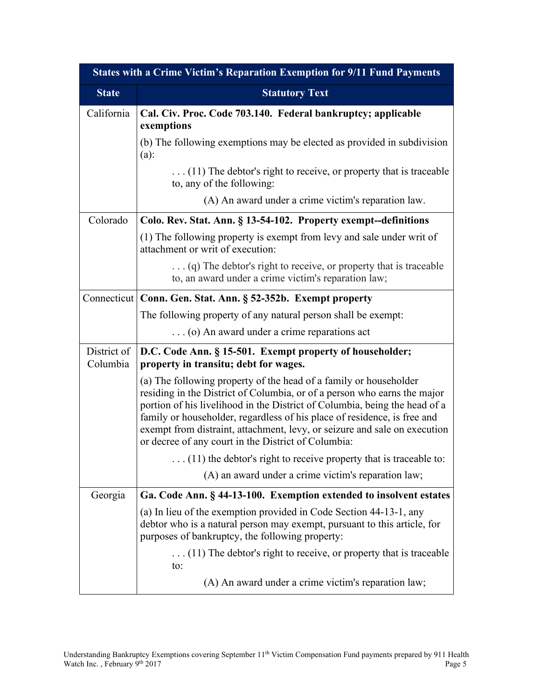| <b>States with a Crime Victim's Reparation Exemption for 9/11 Fund Payments</b> |                                                                                                                                                                                                                                                                                                                                                                                                                                             |  |
|---------------------------------------------------------------------------------|---------------------------------------------------------------------------------------------------------------------------------------------------------------------------------------------------------------------------------------------------------------------------------------------------------------------------------------------------------------------------------------------------------------------------------------------|--|
| <b>State</b>                                                                    | <b>Statutory Text</b>                                                                                                                                                                                                                                                                                                                                                                                                                       |  |
| California                                                                      | Cal. Civ. Proc. Code 703.140. Federal bankruptcy; applicable<br>exemptions                                                                                                                                                                                                                                                                                                                                                                  |  |
|                                                                                 | (b) The following exemptions may be elected as provided in subdivision<br>(a):                                                                                                                                                                                                                                                                                                                                                              |  |
|                                                                                 | $\dots$ (11) The debtor's right to receive, or property that is traceable<br>to, any of the following:                                                                                                                                                                                                                                                                                                                                      |  |
|                                                                                 | (A) An award under a crime victim's reparation law.                                                                                                                                                                                                                                                                                                                                                                                         |  |
| Colorado                                                                        | Colo. Rev. Stat. Ann. § 13-54-102. Property exempt--definitions                                                                                                                                                                                                                                                                                                                                                                             |  |
|                                                                                 | (1) The following property is exempt from levy and sale under writ of<br>attachment or writ of execution:                                                                                                                                                                                                                                                                                                                                   |  |
|                                                                                 | $\ldots$ (q) The debtor's right to receive, or property that is traceable<br>to, an award under a crime victim's reparation law;                                                                                                                                                                                                                                                                                                            |  |
|                                                                                 | Connecticut   Conn. Gen. Stat. Ann. § 52-352b. Exempt property                                                                                                                                                                                                                                                                                                                                                                              |  |
|                                                                                 | The following property of any natural person shall be exempt:                                                                                                                                                                                                                                                                                                                                                                               |  |
|                                                                                 | (o) An award under a crime reparations act                                                                                                                                                                                                                                                                                                                                                                                                  |  |
| District of<br>Columbia                                                         | D.C. Code Ann. § 15-501. Exempt property of householder;<br>property in transitu; debt for wages.                                                                                                                                                                                                                                                                                                                                           |  |
|                                                                                 | (a) The following property of the head of a family or householder<br>residing in the District of Columbia, or of a person who earns the major<br>portion of his livelihood in the District of Columbia, being the head of a<br>family or householder, regardless of his place of residence, is free and<br>exempt from distraint, attachment, levy, or seizure and sale on execution<br>or decree of any court in the District of Columbia: |  |
|                                                                                 | $(11)$ the debtor's right to receive property that is traceable to:                                                                                                                                                                                                                                                                                                                                                                         |  |
|                                                                                 | (A) an award under a crime victim's reparation law;                                                                                                                                                                                                                                                                                                                                                                                         |  |
| Georgia                                                                         | Ga. Code Ann. § 44-13-100. Exemption extended to insolvent estates                                                                                                                                                                                                                                                                                                                                                                          |  |
|                                                                                 | (a) In lieu of the exemption provided in Code Section 44-13-1, any<br>debtor who is a natural person may exempt, pursuant to this article, for<br>purposes of bankruptcy, the following property:                                                                                                                                                                                                                                           |  |
|                                                                                 | $\dots$ (11) The debtor's right to receive, or property that is traceable<br>to:                                                                                                                                                                                                                                                                                                                                                            |  |
|                                                                                 | (A) An award under a crime victim's reparation law;                                                                                                                                                                                                                                                                                                                                                                                         |  |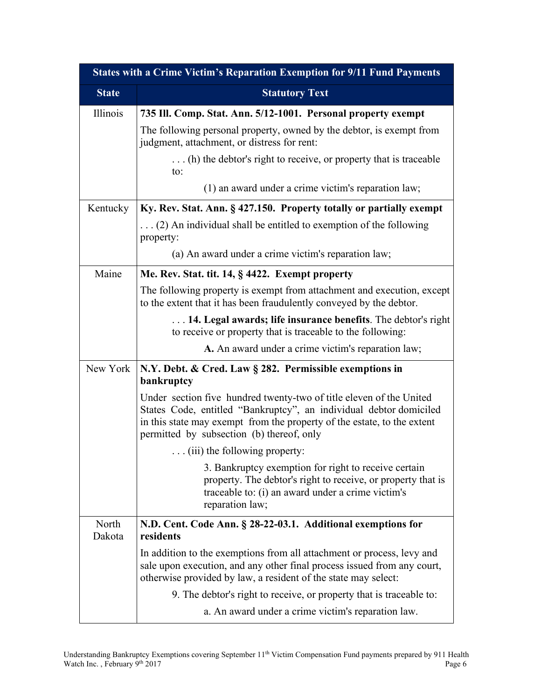| <b>States with a Crime Victim's Reparation Exemption for 9/11 Fund Payments</b> |                                                                                                                                                                                                                                                                   |  |
|---------------------------------------------------------------------------------|-------------------------------------------------------------------------------------------------------------------------------------------------------------------------------------------------------------------------------------------------------------------|--|
| <b>State</b>                                                                    | <b>Statutory Text</b>                                                                                                                                                                                                                                             |  |
| Illinois                                                                        | 735 Ill. Comp. Stat. Ann. 5/12-1001. Personal property exempt                                                                                                                                                                                                     |  |
|                                                                                 | The following personal property, owned by the debtor, is exempt from<br>judgment, attachment, or distress for rent:                                                                                                                                               |  |
|                                                                                 | (h) the debtor's right to receive, or property that is traceable<br>to:                                                                                                                                                                                           |  |
|                                                                                 | (1) an award under a crime victim's reparation law;                                                                                                                                                                                                               |  |
| Kentucky                                                                        | Ky. Rev. Stat. Ann. § 427.150. Property totally or partially exempt                                                                                                                                                                                               |  |
|                                                                                 | $\ldots$ (2) An individual shall be entitled to exemption of the following<br>property:                                                                                                                                                                           |  |
|                                                                                 | (a) An award under a crime victim's reparation law;                                                                                                                                                                                                               |  |
| Maine                                                                           | Me. Rev. Stat. tit. 14, § 4422. Exempt property                                                                                                                                                                                                                   |  |
|                                                                                 | The following property is exempt from attachment and execution, except<br>to the extent that it has been fraudulently conveyed by the debtor.                                                                                                                     |  |
|                                                                                 | 14. Legal awards; life insurance benefits. The debtor's right<br>to receive or property that is traceable to the following:                                                                                                                                       |  |
|                                                                                 | A. An award under a crime victim's reparation law;                                                                                                                                                                                                                |  |
| New York                                                                        | N.Y. Debt. & Cred. Law § 282. Permissible exemptions in<br>bankruptcy                                                                                                                                                                                             |  |
|                                                                                 | Under section five hundred twenty-two of title eleven of the United<br>States Code, entitled "Bankruptcy", an individual debtor domiciled<br>in this state may exempt from the property of the estate, to the extent<br>permitted by subsection (b) thereof, only |  |
|                                                                                 | $\ldots$ (iii) the following property:                                                                                                                                                                                                                            |  |
|                                                                                 | 3. Bankruptcy exemption for right to receive certain<br>property. The debtor's right to receive, or property that is<br>traceable to: (i) an award under a crime victim's<br>reparation law;                                                                      |  |
| North<br>Dakota                                                                 | N.D. Cent. Code Ann. § 28-22-03.1. Additional exemptions for<br>residents                                                                                                                                                                                         |  |
|                                                                                 | In addition to the exemptions from all attachment or process, levy and<br>sale upon execution, and any other final process issued from any court,<br>otherwise provided by law, a resident of the state may select:                                               |  |
|                                                                                 | 9. The debtor's right to receive, or property that is traceable to:                                                                                                                                                                                               |  |
|                                                                                 | a. An award under a crime victim's reparation law.                                                                                                                                                                                                                |  |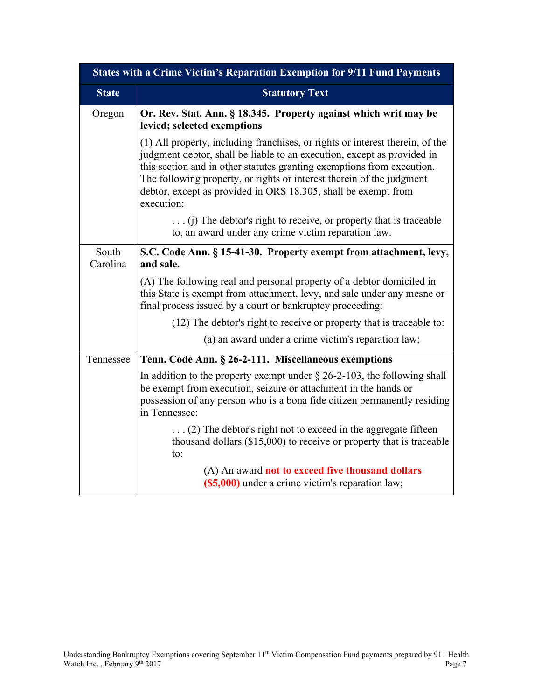|                   | <b>States with a Crime Victim's Reparation Exemption for 9/11 Fund Payments</b>                                                                                                                                                                                                                                                                                                             |
|-------------------|---------------------------------------------------------------------------------------------------------------------------------------------------------------------------------------------------------------------------------------------------------------------------------------------------------------------------------------------------------------------------------------------|
| <b>State</b>      | <b>Statutory Text</b>                                                                                                                                                                                                                                                                                                                                                                       |
| Oregon            | Or. Rev. Stat. Ann. § 18.345. Property against which writ may be<br>levied; selected exemptions                                                                                                                                                                                                                                                                                             |
|                   | (1) All property, including franchises, or rights or interest therein, of the<br>judgment debtor, shall be liable to an execution, except as provided in<br>this section and in other statutes granting exemptions from execution.<br>The following property, or rights or interest therein of the judgment<br>debtor, except as provided in ORS 18.305, shall be exempt from<br>execution: |
|                   | $\ldots$ (i) The debtor's right to receive, or property that is traceable<br>to, an award under any crime victim reparation law.                                                                                                                                                                                                                                                            |
| South<br>Carolina | S.C. Code Ann. § 15-41-30. Property exempt from attachment, levy,<br>and sale.                                                                                                                                                                                                                                                                                                              |
|                   | (A) The following real and personal property of a debtor domiciled in<br>this State is exempt from attachment, levy, and sale under any mesne or<br>final process issued by a court or bankruptcy proceeding:                                                                                                                                                                               |
|                   | (12) The debtor's right to receive or property that is traceable to:                                                                                                                                                                                                                                                                                                                        |
|                   | (a) an award under a crime victim's reparation law;                                                                                                                                                                                                                                                                                                                                         |
| Tennessee         | Tenn. Code Ann. § 26-2-111. Miscellaneous exemptions                                                                                                                                                                                                                                                                                                                                        |
|                   | In addition to the property exempt under $\S$ 26-2-103, the following shall<br>be exempt from execution, seizure or attachment in the hands or<br>possession of any person who is a bona fide citizen permanently residing<br>in Tennessee:                                                                                                                                                 |
|                   | $\ldots$ (2) The debtor's right not to exceed in the aggregate fifteen<br>thousand dollars $(\$15,000)$ to receive or property that is traceable<br>to:                                                                                                                                                                                                                                     |
|                   | (A) An award not to exceed five thousand dollars<br>(\$5,000) under a crime victim's reparation law;                                                                                                                                                                                                                                                                                        |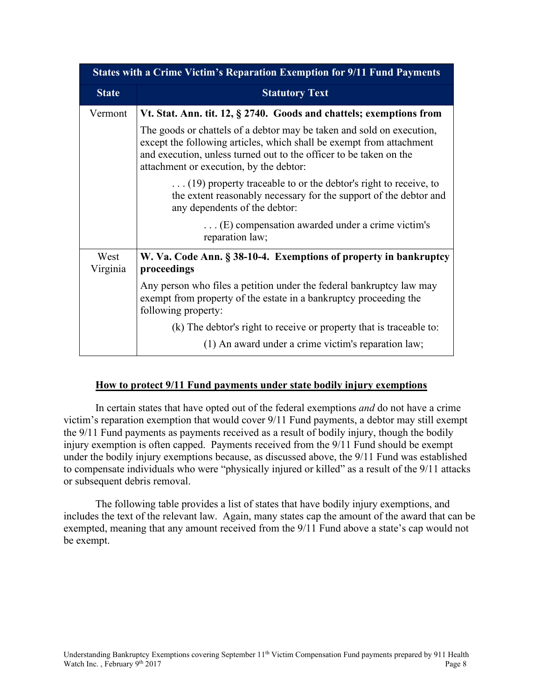|                  | <b>States with a Crime Victim's Reparation Exemption for 9/11 Fund Payments</b>                                                                                                                                                                                |
|------------------|----------------------------------------------------------------------------------------------------------------------------------------------------------------------------------------------------------------------------------------------------------------|
| <b>State</b>     | <b>Statutory Text</b>                                                                                                                                                                                                                                          |
| Vermont          | Vt. Stat. Ann. tit. 12, § 2740. Goods and chattels; exemptions from                                                                                                                                                                                            |
|                  | The goods or chattels of a debtor may be taken and sold on execution,<br>except the following articles, which shall be exempt from attachment<br>and execution, unless turned out to the officer to be taken on the<br>attachment or execution, by the debtor: |
|                  | $\dots$ (19) property traceable to or the debtor's right to receive, to<br>the extent reasonably necessary for the support of the debtor and<br>any dependents of the debtor:                                                                                  |
|                  | $\dots$ (E) compensation awarded under a crime victim's<br>reparation law;                                                                                                                                                                                     |
| West<br>Virginia | W. Va. Code Ann. § 38-10-4. Exemptions of property in bankruptcy<br>proceedings                                                                                                                                                                                |
|                  | Any person who files a petition under the federal bankruptcy law may<br>exempt from property of the estate in a bankruptcy proceeding the<br>following property:                                                                                               |
|                  | (k) The debtor's right to receive or property that is traceable to:                                                                                                                                                                                            |
|                  | (1) An award under a crime victim's reparation law;                                                                                                                                                                                                            |

#### **How to protect 9/11 Fund payments under state bodily injury exemptions**

In certain states that have opted out of the federal exemptions *and* do not have a crime victim's reparation exemption that would cover 9/11 Fund payments, a debtor may still exempt the 9/11 Fund payments as payments received as a result of bodily injury, though the bodily injury exemption is often capped. Payments received from the 9/11 Fund should be exempt under the bodily injury exemptions because, as discussed above, the 9/11 Fund was established to compensate individuals who were "physically injured or killed" as a result of the 9/11 attacks or subsequent debris removal.

The following table provides a list of states that have bodily injury exemptions, and includes the text of the relevant law. Again, many states cap the amount of the award that can be exempted, meaning that any amount received from the 9/11 Fund above a state's cap would not be exempt.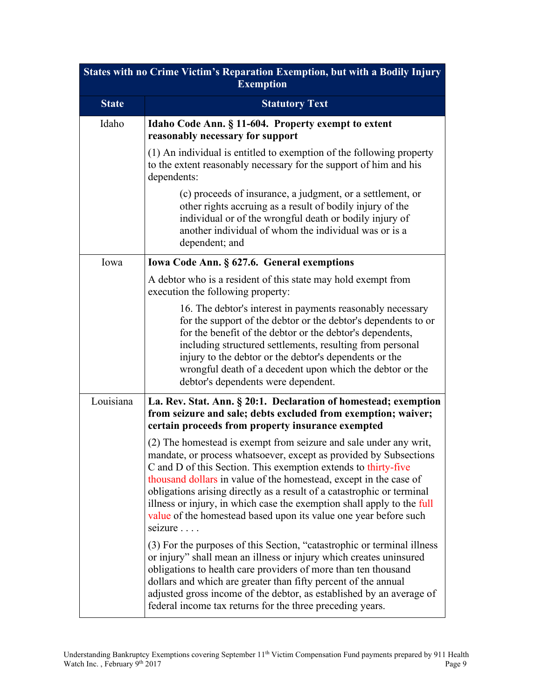| <b>States with no Crime Victim's Reparation Exemption, but with a Bodily Injury</b><br><b>Exemption</b> |                                                                                                                                                                                                                                                                                                                                                                                                                                                                                                                  |  |
|---------------------------------------------------------------------------------------------------------|------------------------------------------------------------------------------------------------------------------------------------------------------------------------------------------------------------------------------------------------------------------------------------------------------------------------------------------------------------------------------------------------------------------------------------------------------------------------------------------------------------------|--|
| <b>State</b>                                                                                            | <b>Statutory Text</b>                                                                                                                                                                                                                                                                                                                                                                                                                                                                                            |  |
| Idaho                                                                                                   | Idaho Code Ann. § 11-604. Property exempt to extent<br>reasonably necessary for support                                                                                                                                                                                                                                                                                                                                                                                                                          |  |
|                                                                                                         | (1) An individual is entitled to exemption of the following property<br>to the extent reasonably necessary for the support of him and his<br>dependents:                                                                                                                                                                                                                                                                                                                                                         |  |
|                                                                                                         | (c) proceeds of insurance, a judgment, or a settlement, or<br>other rights accruing as a result of bodily injury of the<br>individual or of the wrongful death or bodily injury of<br>another individual of whom the individual was or is a<br>dependent; and                                                                                                                                                                                                                                                    |  |
| Iowa                                                                                                    | Iowa Code Ann. § 627.6. General exemptions                                                                                                                                                                                                                                                                                                                                                                                                                                                                       |  |
|                                                                                                         | A debtor who is a resident of this state may hold exempt from<br>execution the following property:                                                                                                                                                                                                                                                                                                                                                                                                               |  |
|                                                                                                         | 16. The debtor's interest in payments reasonably necessary<br>for the support of the debtor or the debtor's dependents to or<br>for the benefit of the debtor or the debtor's dependents,<br>including structured settlements, resulting from personal<br>injury to the debtor or the debtor's dependents or the<br>wrongful death of a decedent upon which the debtor or the<br>debtor's dependents were dependent.                                                                                             |  |
| Louisiana                                                                                               | La. Rev. Stat. Ann. § 20:1. Declaration of homestead; exemption<br>from seizure and sale; debts excluded from exemption; waiver;<br>certain proceeds from property insurance exempted                                                                                                                                                                                                                                                                                                                            |  |
|                                                                                                         | (2) The homestead is exempt from seizure and sale under any writ,<br>mandate, or process whatsoever, except as provided by Subsections<br>C and D of this Section. This exemption extends to thirty-five<br>thousand dollars in value of the homestead, except in the case of<br>obligations arising directly as a result of a catastrophic or terminal<br>illness or injury, in which case the exemption shall apply to the full<br>value of the homestead based upon its value one year before such<br>seizure |  |
|                                                                                                         | (3) For the purposes of this Section, "catastrophic or terminal illness<br>or injury" shall mean an illness or injury which creates uninsured<br>obligations to health care providers of more than ten thousand<br>dollars and which are greater than fifty percent of the annual<br>adjusted gross income of the debtor, as established by an average of<br>federal income tax returns for the three preceding years.                                                                                           |  |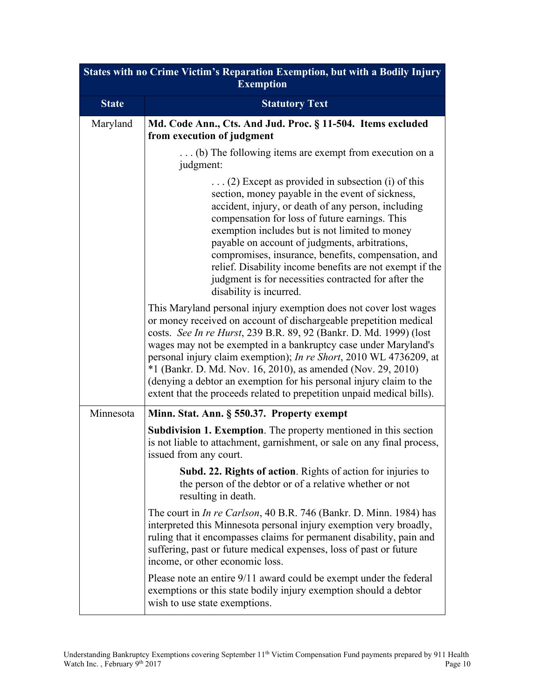| States with no Crime Victim's Reparation Exemption, but with a Bodily Injury<br><b>Exemption</b> |                                                                                                                                                                                                                                                                                                                                                                                                                                                                                                                                                                        |  |
|--------------------------------------------------------------------------------------------------|------------------------------------------------------------------------------------------------------------------------------------------------------------------------------------------------------------------------------------------------------------------------------------------------------------------------------------------------------------------------------------------------------------------------------------------------------------------------------------------------------------------------------------------------------------------------|--|
| <b>State</b>                                                                                     | <b>Statutory Text</b>                                                                                                                                                                                                                                                                                                                                                                                                                                                                                                                                                  |  |
| Maryland                                                                                         | Md. Code Ann., Cts. And Jud. Proc. § 11-504. Items excluded<br>from execution of judgment                                                                                                                                                                                                                                                                                                                                                                                                                                                                              |  |
|                                                                                                  | (b) The following items are exempt from execution on a<br>judgment:                                                                                                                                                                                                                                                                                                                                                                                                                                                                                                    |  |
|                                                                                                  | $\ldots$ (2) Except as provided in subsection (i) of this<br>section, money payable in the event of sickness,<br>accident, injury, or death of any person, including<br>compensation for loss of future earnings. This<br>exemption includes but is not limited to money<br>payable on account of judgments, arbitrations,<br>compromises, insurance, benefits, compensation, and<br>relief. Disability income benefits are not exempt if the<br>judgment is for necessities contracted for after the<br>disability is incurred.                                       |  |
|                                                                                                  | This Maryland personal injury exemption does not cover lost wages<br>or money received on account of dischargeable prepetition medical<br>costs. See In re Hurst, 239 B.R. 89, 92 (Bankr. D. Md. 1999) (lost<br>wages may not be exempted in a bankruptcy case under Maryland's<br>personal injury claim exemption); In re Short, 2010 WL 4736209, at<br>*1 (Bankr. D. Md. Nov. 16, 2010), as amended (Nov. 29, 2010)<br>(denying a debtor an exemption for his personal injury claim to the<br>extent that the proceeds related to prepetition unpaid medical bills). |  |
| Minnesota                                                                                        | Minn. Stat. Ann. § 550.37. Property exempt                                                                                                                                                                                                                                                                                                                                                                                                                                                                                                                             |  |
|                                                                                                  | <b>Subdivision 1. Exemption.</b> The property mentioned in this section<br>is not liable to attachment, garnishment, or sale on any final process,<br>issued from any court.                                                                                                                                                                                                                                                                                                                                                                                           |  |
|                                                                                                  | <b>Subd. 22. Rights of action.</b> Rights of action for injuries to<br>the person of the debtor or of a relative whether or not<br>resulting in death.                                                                                                                                                                                                                                                                                                                                                                                                                 |  |
|                                                                                                  | The court in <i>In re Carlson</i> , 40 B.R. 746 (Bankr. D. Minn. 1984) has<br>interpreted this Minnesota personal injury exemption very broadly,<br>ruling that it encompasses claims for permanent disability, pain and<br>suffering, past or future medical expenses, loss of past or future<br>income, or other economic loss.                                                                                                                                                                                                                                      |  |
|                                                                                                  | Please note an entire 9/11 award could be exempt under the federal<br>exemptions or this state bodily injury exemption should a debtor<br>wish to use state exemptions.                                                                                                                                                                                                                                                                                                                                                                                                |  |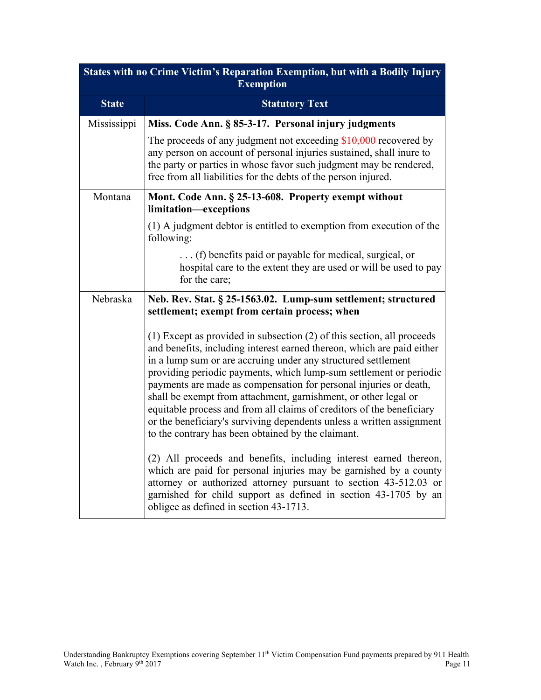| States with no Crime Victim's Reparation Exemption, but with a Bodily Injury<br><b>Exemption</b> |                                                                                                                                                                                                                                                                                                                                                                                                                                                                                                                                                                                                                                             |  |
|--------------------------------------------------------------------------------------------------|---------------------------------------------------------------------------------------------------------------------------------------------------------------------------------------------------------------------------------------------------------------------------------------------------------------------------------------------------------------------------------------------------------------------------------------------------------------------------------------------------------------------------------------------------------------------------------------------------------------------------------------------|--|
| <b>State</b>                                                                                     | <b>Statutory Text</b>                                                                                                                                                                                                                                                                                                                                                                                                                                                                                                                                                                                                                       |  |
| Mississippi                                                                                      | Miss. Code Ann. § 85-3-17. Personal injury judgments                                                                                                                                                                                                                                                                                                                                                                                                                                                                                                                                                                                        |  |
|                                                                                                  | The proceeds of any judgment not exceeding $$10,000$ recovered by<br>any person on account of personal injuries sustained, shall inure to<br>the party or parties in whose favor such judgment may be rendered,<br>free from all liabilities for the debts of the person injured.                                                                                                                                                                                                                                                                                                                                                           |  |
| Montana                                                                                          | Mont. Code Ann. § 25-13-608. Property exempt without<br>limitation-exceptions                                                                                                                                                                                                                                                                                                                                                                                                                                                                                                                                                               |  |
|                                                                                                  | (1) A judgment debtor is entitled to exemption from execution of the<br>following:                                                                                                                                                                                                                                                                                                                                                                                                                                                                                                                                                          |  |
|                                                                                                  | (f) benefits paid or payable for medical, surgical, or<br>hospital care to the extent they are used or will be used to pay<br>for the care;                                                                                                                                                                                                                                                                                                                                                                                                                                                                                                 |  |
| Nebraska                                                                                         | Neb. Rev. Stat. § 25-1563.02. Lump-sum settlement; structured<br>settlement; exempt from certain process; when                                                                                                                                                                                                                                                                                                                                                                                                                                                                                                                              |  |
|                                                                                                  | $(1)$ Except as provided in subsection $(2)$ of this section, all proceeds<br>and benefits, including interest earned thereon, which are paid either<br>in a lump sum or are accruing under any structured settlement<br>providing periodic payments, which lump-sum settlement or periodic<br>payments are made as compensation for personal injuries or death,<br>shall be exempt from attachment, garnishment, or other legal or<br>equitable process and from all claims of creditors of the beneficiary<br>or the beneficiary's surviving dependents unless a written assignment<br>to the contrary has been obtained by the claimant. |  |
|                                                                                                  | (2) All proceeds and benefits, including interest earned thereon,<br>which are paid for personal injuries may be garnished by a county<br>attorney or authorized attorney pursuant to section 43-512.03 or<br>garnished for child support as defined in section 43-1705 by an<br>obligee as defined in section 43-1713.                                                                                                                                                                                                                                                                                                                     |  |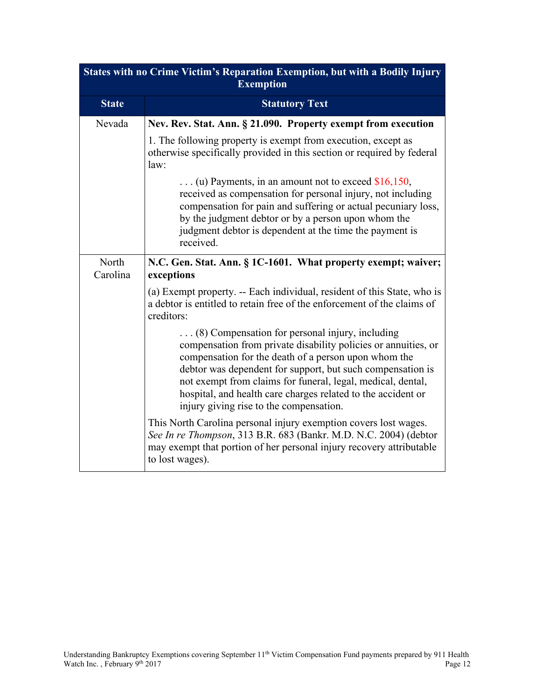|                   | States with no Crime Victim's Reparation Exemption, but with a Bodily Injury<br><b>Exemption</b>                                                                                                                                                                                                                                                                                                                           |
|-------------------|----------------------------------------------------------------------------------------------------------------------------------------------------------------------------------------------------------------------------------------------------------------------------------------------------------------------------------------------------------------------------------------------------------------------------|
| <b>State</b>      | <b>Statutory Text</b>                                                                                                                                                                                                                                                                                                                                                                                                      |
| Nevada            | Nev. Rev. Stat. Ann. § 21.090. Property exempt from execution                                                                                                                                                                                                                                                                                                                                                              |
|                   | 1. The following property is exempt from execution, except as<br>otherwise specifically provided in this section or required by federal<br>law:                                                                                                                                                                                                                                                                            |
|                   | (u) Payments, in an amount not to exceed $$16,150$ ,<br>received as compensation for personal injury, not including<br>compensation for pain and suffering or actual pecuniary loss,<br>by the judgment debtor or by a person upon whom the<br>judgment debtor is dependent at the time the payment is<br>received.                                                                                                        |
| North<br>Carolina | N.C. Gen. Stat. Ann. § 1C-1601. What property exempt; waiver;<br>exceptions                                                                                                                                                                                                                                                                                                                                                |
|                   | (a) Exempt property. -- Each individual, resident of this State, who is<br>a debtor is entitled to retain free of the enforcement of the claims of<br>creditors:                                                                                                                                                                                                                                                           |
|                   | $\ldots$ (8) Compensation for personal injury, including<br>compensation from private disability policies or annuities, or<br>compensation for the death of a person upon whom the<br>debtor was dependent for support, but such compensation is<br>not exempt from claims for funeral, legal, medical, dental,<br>hospital, and health care charges related to the accident or<br>injury giving rise to the compensation. |
|                   | This North Carolina personal injury exemption covers lost wages.<br>See In re Thompson, 313 B.R. 683 (Bankr. M.D. N.C. 2004) (debtor<br>may exempt that portion of her personal injury recovery attributable<br>to lost wages).                                                                                                                                                                                            |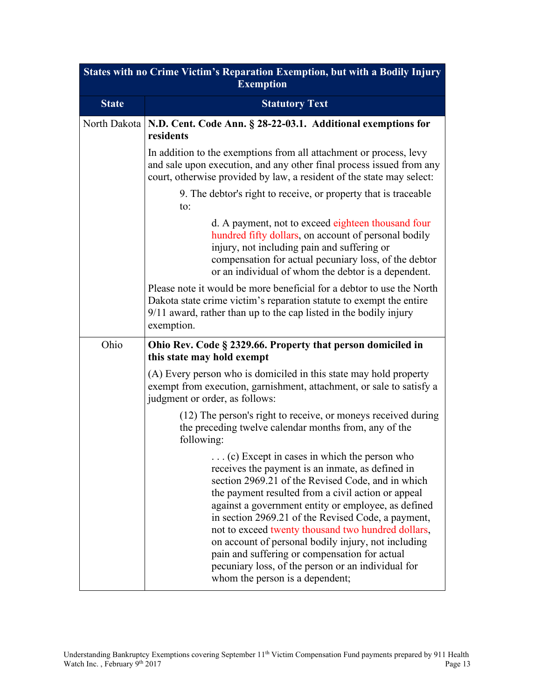| States with no Crime Victim's Reparation Exemption, but with a Bodily Injury<br><b>Exemption</b> |                                                                                                                                                                                                                                                                                                                                                                                                                                                                                                                                                                                         |  |  |
|--------------------------------------------------------------------------------------------------|-----------------------------------------------------------------------------------------------------------------------------------------------------------------------------------------------------------------------------------------------------------------------------------------------------------------------------------------------------------------------------------------------------------------------------------------------------------------------------------------------------------------------------------------------------------------------------------------|--|--|
| <b>State</b>                                                                                     | <b>Statutory Text</b>                                                                                                                                                                                                                                                                                                                                                                                                                                                                                                                                                                   |  |  |
| North Dakota                                                                                     | N.D. Cent. Code Ann. § 28-22-03.1. Additional exemptions for<br>residents                                                                                                                                                                                                                                                                                                                                                                                                                                                                                                               |  |  |
|                                                                                                  | In addition to the exemptions from all attachment or process, levy<br>and sale upon execution, and any other final process issued from any<br>court, otherwise provided by law, a resident of the state may select:                                                                                                                                                                                                                                                                                                                                                                     |  |  |
|                                                                                                  | 9. The debtor's right to receive, or property that is traceable<br>to:                                                                                                                                                                                                                                                                                                                                                                                                                                                                                                                  |  |  |
|                                                                                                  | d. A payment, not to exceed eighteen thousand four<br>hundred fifty dollars, on account of personal bodily<br>injury, not including pain and suffering or<br>compensation for actual pecuniary loss, of the debtor<br>or an individual of whom the debtor is a dependent.                                                                                                                                                                                                                                                                                                               |  |  |
|                                                                                                  | Please note it would be more beneficial for a debtor to use the North<br>Dakota state crime victim's reparation statute to exempt the entire<br>9/11 award, rather than up to the cap listed in the bodily injury<br>exemption.                                                                                                                                                                                                                                                                                                                                                         |  |  |
| Ohio                                                                                             | Ohio Rev. Code § 2329.66. Property that person domiciled in<br>this state may hold exempt                                                                                                                                                                                                                                                                                                                                                                                                                                                                                               |  |  |
|                                                                                                  | (A) Every person who is domiciled in this state may hold property<br>exempt from execution, garnishment, attachment, or sale to satisfy a<br>judgment or order, as follows:                                                                                                                                                                                                                                                                                                                                                                                                             |  |  |
|                                                                                                  | (12) The person's right to receive, or moneys received during<br>the preceding twelve calendar months from, any of the<br>following:                                                                                                                                                                                                                                                                                                                                                                                                                                                    |  |  |
|                                                                                                  | $\ldots$ (c) Except in cases in which the person who<br>receives the payment is an inmate, as defined in<br>section 2969.21 of the Revised Code, and in which<br>the payment resulted from a civil action or appeal<br>against a government entity or employee, as defined<br>in section 2969.21 of the Revised Code, a payment,<br>not to exceed twenty thousand two hundred dollars,<br>on account of personal bodily injury, not including<br>pain and suffering or compensation for actual<br>pecuniary loss, of the person or an individual for<br>whom the person is a dependent; |  |  |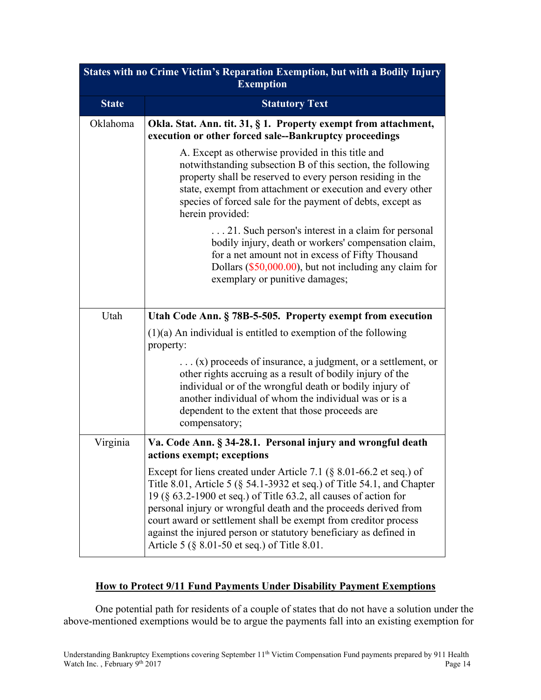| States with no Crime Victim's Reparation Exemption, but with a Bodily Injury<br><b>Exemption</b> |                                                                                                                                                                                                                                                                                                                                                                                                                                                                                  |  |
|--------------------------------------------------------------------------------------------------|----------------------------------------------------------------------------------------------------------------------------------------------------------------------------------------------------------------------------------------------------------------------------------------------------------------------------------------------------------------------------------------------------------------------------------------------------------------------------------|--|
| <b>State</b>                                                                                     | <b>Statutory Text</b>                                                                                                                                                                                                                                                                                                                                                                                                                                                            |  |
| Oklahoma                                                                                         | Okla. Stat. Ann. tit. 31, § 1. Property exempt from attachment,<br>execution or other forced sale--Bankruptcy proceedings                                                                                                                                                                                                                                                                                                                                                        |  |
|                                                                                                  | A. Except as otherwise provided in this title and<br>notwithstanding subsection B of this section, the following<br>property shall be reserved to every person residing in the<br>state, exempt from attachment or execution and every other<br>species of forced sale for the payment of debts, except as<br>herein provided:                                                                                                                                                   |  |
|                                                                                                  | 21. Such person's interest in a claim for personal<br>bodily injury, death or workers' compensation claim,<br>for a net amount not in excess of Fifty Thousand<br>Dollars (\$50,000.00), but not including any claim for<br>exemplary or punitive damages;                                                                                                                                                                                                                       |  |
| Utah                                                                                             | Utah Code Ann. § 78B-5-505. Property exempt from execution                                                                                                                                                                                                                                                                                                                                                                                                                       |  |
|                                                                                                  | $(1)(a)$ An individual is entitled to exemption of the following<br>property:                                                                                                                                                                                                                                                                                                                                                                                                    |  |
|                                                                                                  | $\dots$ (x) proceeds of insurance, a judgment, or a settlement, or<br>other rights accruing as a result of bodily injury of the<br>individual or of the wrongful death or bodily injury of<br>another individual of whom the individual was or is a<br>dependent to the extent that those proceeds are<br>compensatory;                                                                                                                                                          |  |
| Virginia                                                                                         | Va. Code Ann. § 34-28.1. Personal injury and wrongful death<br>actions exempt; exceptions                                                                                                                                                                                                                                                                                                                                                                                        |  |
|                                                                                                  | Except for liens created under Article 7.1 ( $\S$ 8.01-66.2 et seq.) of<br>Title 8.01, Article 5 (§ 54.1-3932 et seq.) of Title 54.1, and Chapter<br>19 (§ 63.2-1900 et seq.) of Title 63.2, all causes of action for<br>personal injury or wrongful death and the proceeds derived from<br>court award or settlement shall be exempt from creditor process<br>against the injured person or statutory beneficiary as defined in<br>Article 5 (§ 8.01-50 et seq.) of Title 8.01. |  |

# **How to Protect 9/11 Fund Payments Under Disability Payment Exemptions**

One potential path for residents of a couple of states that do not have a solution under the above-mentioned exemptions would be to argue the payments fall into an existing exemption for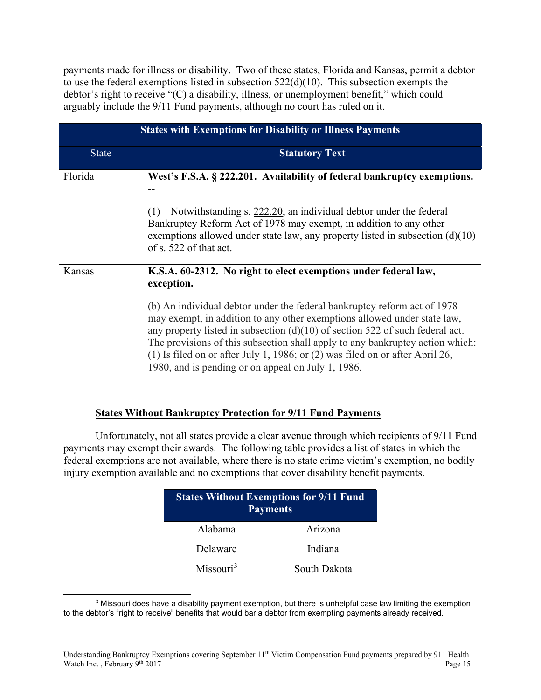payments made for illness or disability. Two of these states, Florida and Kansas, permit a debtor to use the federal exemptions listed in subsection 522(d)(10). This subsection exempts the debtor's right to receive "(C) a disability, illness, or unemployment benefit," which could arguably include the 9/11 Fund payments, although no court has ruled on it.

| <b>States with Exemptions for Disability or Illness Payments</b> |                                                                                                                                                                                                                                                                                                                                                                                                                                                                                                                                                    |  |
|------------------------------------------------------------------|----------------------------------------------------------------------------------------------------------------------------------------------------------------------------------------------------------------------------------------------------------------------------------------------------------------------------------------------------------------------------------------------------------------------------------------------------------------------------------------------------------------------------------------------------|--|
| <b>State</b>                                                     | <b>Statutory Text</b>                                                                                                                                                                                                                                                                                                                                                                                                                                                                                                                              |  |
| Florida                                                          | West's F.S.A. § 222.201. Availability of federal bankruptcy exemptions.<br>Notwithstanding s. 222.20, an individual debtor under the federal<br>(1)<br>Bankruptcy Reform Act of 1978 may exempt, in addition to any other<br>exemptions allowed under state law, any property listed in subsection $(d)(10)$<br>of s. 522 of that act.                                                                                                                                                                                                             |  |
| <b>Kansas</b>                                                    | K.S.A. 60-2312. No right to elect exemptions under federal law,<br>exception.<br>(b) An individual debtor under the federal bankruptcy reform act of 1978<br>may exempt, in addition to any other exemptions allowed under state law,<br>any property listed in subsection $(d)(10)$ of section 522 of such federal act.<br>The provisions of this subsection shall apply to any bankruptcy action which:<br>(1) Is filed on or after July 1, 1986; or $(2)$ was filed on or after April 26,<br>1980, and is pending or on appeal on July 1, 1986. |  |

#### **States Without Bankruptcy Protection for 9/11 Fund Payments**

Unfortunately, not all states provide a clear avenue through which recipients of 9/11 Fund payments may exempt their awards. The following table provides a list of states in which the federal exemptions are not available, where there is no state crime victim's exemption, no bodily injury exemption available and no exemptions that cover disability benefit payments.

| <b>States Without Exemptions for 9/11 Fund</b><br><b>Payments</b> |              |  |  |
|-------------------------------------------------------------------|--------------|--|--|
| Alahama                                                           | Arizona      |  |  |
| Delaware                                                          | Indiana      |  |  |
| Missouri <sup>3</sup>                                             | South Dakota |  |  |

<span id="page-14-0"></span><sup>3</sup> Missouri does have a disability payment exemption, but there is unhelpful case law limiting the exemption to the debtor's "right to receive" benefits that would bar a debtor from exempting payments already received.